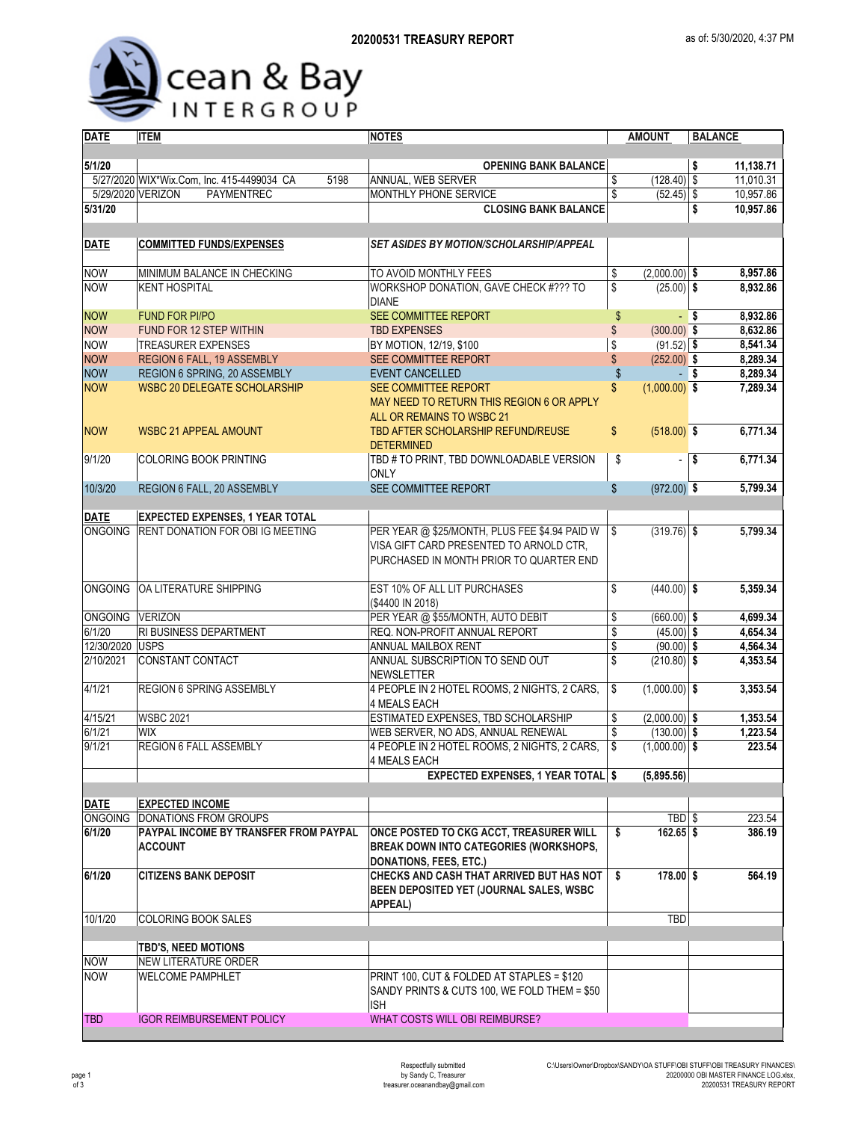

| <b>DATE</b>     | <b>ITEM</b>                                        | <b>NOTES</b>                                   | <b>AMOUNT</b>                  | <b>BALANCE</b>         |  |  |  |  |
|-----------------|----------------------------------------------------|------------------------------------------------|--------------------------------|------------------------|--|--|--|--|
|                 |                                                    |                                                |                                |                        |  |  |  |  |
| 5/1/20          |                                                    | <b>OPENING BANK BALANCE</b>                    |                                | 11,138.71<br>\$        |  |  |  |  |
|                 | 5/27/2020 WIX*Wix.Com, Inc. 415-4499034 CA<br>5198 | ANNUAL, WEB SERVER                             | $(128.40)$ \$<br>\$            | 11,010.31              |  |  |  |  |
|                 | 5/29/2020 VERIZON<br>PAYMENTREC                    | MONTHLY PHONE SERVICE                          | \$<br>$(52.45)$ \$             | 10,957.86              |  |  |  |  |
| 5/31/20         |                                                    | <b>CLOSING BANK BALANCE</b>                    |                                | 10,957.86<br>\$        |  |  |  |  |
|                 |                                                    |                                                |                                |                        |  |  |  |  |
|                 |                                                    |                                                |                                |                        |  |  |  |  |
| <b>DATE</b>     | <b>COMMITTED FUNDS/EXPENSES</b>                    | <b>SET ASIDES BY MOTION/SCHOLARSHIP/APPEAL</b> |                                |                        |  |  |  |  |
|                 |                                                    |                                                |                                |                        |  |  |  |  |
| <b>NOW</b>      | MINIMUM BALANCE IN CHECKING                        | TO AVOID MONTHLY FEES                          | $(2,000.00)$ \$<br>\$          | 8,957.86               |  |  |  |  |
| <b>NOW</b>      | <b>KENT HOSPITAL</b>                               | WORKSHOP DONATION, GAVE CHECK #??? TO          | \$<br>$(25.00)$ \$             | 8,932.86               |  |  |  |  |
|                 |                                                    | <b>DIANE</b>                                   |                                |                        |  |  |  |  |
| <b>NOW</b>      | <b>FUND FOR PI/PO</b>                              | SEE COMMITTEE REPORT                           | \$                             | 8,932.86<br>- \$       |  |  |  |  |
| <b>NOW</b>      | FUND FOR 12 STEP WITHIN                            | <b>TBD EXPENSES</b>                            | \$<br>$(300.00)$ \$            | 8,632.86               |  |  |  |  |
| <b>NOW</b>      | <b>TREASURER EXPENSES</b>                          | BY MOTION, 12/19, \$100                        | $(91.52)$ \$<br>\$             | 8,541.34               |  |  |  |  |
| <b>NOW</b>      | REGION 6 FALL, 19 ASSEMBLY                         | SEE COMMITTEE REPORT                           | $(252.00)$ \$<br>\$            | 8,289.34               |  |  |  |  |
| <b>NOW</b>      | REGION 6 SPRING, 20 ASSEMBLY                       | <b>EVENT CANCELLED</b>                         | \$                             | 8,289.34<br>- S        |  |  |  |  |
| <b>NOW</b>      | <b>WSBC 20 DELEGATE SCHOLARSHIP</b>                | SEE COMMITTEE REPORT                           | $(1,000.00)$ \$<br>\$          | 7,289.34               |  |  |  |  |
|                 |                                                    | MAY NEED TO RETURN THIS REGION 6 OR APPLY      |                                |                        |  |  |  |  |
|                 |                                                    | ALL OR REMAINS TO WSBC 21                      |                                |                        |  |  |  |  |
| <b>NOW</b>      | <b>WSBC 21 APPEAL AMOUNT</b>                       | TBD AFTER SCHOLARSHIP REFUND/REUSE             | \$<br>$(518.00)$ \$            | 6,771.34               |  |  |  |  |
|                 |                                                    | <b>DETERMINED</b>                              |                                |                        |  |  |  |  |
| 9/1/20          | <b>COLORING BOOK PRINTING</b>                      | TBD # TO PRINT, TBD DOWNLOADABLE VERSION       | \$<br>$\overline{\phantom{a}}$ | $\sqrt{2}$<br>6,771.34 |  |  |  |  |
|                 |                                                    | <b>ONLY</b>                                    |                                |                        |  |  |  |  |
| 10/3/20         | REGION 6 FALL, 20 ASSEMBLY                         | SEE COMMITTEE REPORT                           | $\mathbb{S}$<br>$(972.00)$ \$  | 5,799.34               |  |  |  |  |
|                 |                                                    |                                                |                                |                        |  |  |  |  |
| <b>DATE</b>     | <b>EXPECTED EXPENSES, 1 YEAR TOTAL</b>             |                                                |                                |                        |  |  |  |  |
|                 | ONGOING RENT DONATION FOR OBI IG MEETING           | PER YEAR @ \$25/MONTH, PLUS FEE \$4.94 PAID W  | $(319.76)$ \$<br>\$            | 5,799.34               |  |  |  |  |
|                 |                                                    | VISA GIFT CARD PRESENTED TO ARNOLD CTR.        |                                |                        |  |  |  |  |
|                 |                                                    | PURCHASED IN MONTH PRIOR TO QUARTER END        |                                |                        |  |  |  |  |
|                 |                                                    |                                                |                                |                        |  |  |  |  |
|                 | ONGOING OA LITERATURE SHIPPING                     | EST 10% OF ALL LIT PURCHASES                   | $(440.00)$ \$<br>\$            | 5,359.34               |  |  |  |  |
|                 |                                                    | (\$4400 IN 2018)                               |                                |                        |  |  |  |  |
| ONGOING VERIZON |                                                    | PER YEAR @ \$55/MONTH, AUTO DEBIT              | $(660.00)$ \$<br>\$            | 4,699.34               |  |  |  |  |
| 6/1/20          | <b>RI BUSINESS DEPARTMENT</b>                      | REQ. NON-PROFIT ANNUAL REPORT                  | \$<br>$(45.00)$ \$             | 4,654.34               |  |  |  |  |
| 12/30/2020 USPS |                                                    | ANNUAL MAILBOX RENT                            | \$<br>$(90.00)$ \$             | 4,564.34               |  |  |  |  |
| 2/10/2021       | CONSTANT CONTACT                                   | ANNUAL SUBSCRIPTION TO SEND OUT                | \$<br>$(210.80)$ \$            | 4,353.54               |  |  |  |  |
|                 |                                                    | <b>NEWSLETTER</b>                              |                                |                        |  |  |  |  |
| 4/1/21          | REGION 6 SPRING ASSEMBLY                           | 4 PEOPLE IN 2 HOTEL ROOMS, 2 NIGHTS, 2 CARS,   | $(1,000.00)$ \$                | 3,353.54               |  |  |  |  |
|                 |                                                    | <b>4 MEALS EACH</b>                            | \$                             |                        |  |  |  |  |
| 4/15/21         | <b>WSBC 2021</b>                                   | ESTIMATED EXPENSES, TBD SCHOLARSHIP            | \$<br>$(2,000.00)$ \$          | 1,353.54               |  |  |  |  |
|                 |                                                    |                                                |                                |                        |  |  |  |  |
| 6/1/21          | <b>WIX</b>                                         | WEB SERVER, NO ADS, ANNUAL RENEWAL             | \$<br>$(130.00)$ \$            | 1,223.54               |  |  |  |  |
| 9/1/21          | REGION 6 FALL ASSEMBLY                             | 4 PEOPLE IN 2 HOTEL ROOMS, 2 NIGHTS, 2 CARS,   | $(1,000.00)$ \$<br>\$          | 223.54                 |  |  |  |  |
|                 |                                                    | 4 MEALS EACH                                   |                                |                        |  |  |  |  |
|                 |                                                    | <b>EXPECTED EXPENSES, 1 YEAR TOTAL \$</b>      | (5,895.56)                     |                        |  |  |  |  |
|                 |                                                    |                                                |                                |                        |  |  |  |  |
| <b>DATE</b>     | <b>EXPECTED INCOME</b>                             |                                                |                                |                        |  |  |  |  |
|                 | ONGOING DONATIONS FROM GROUPS                      |                                                | TBD <sub>\$</sub>              | 223.54                 |  |  |  |  |
| 6/1/20          | PAYPAL INCOME BY TRANSFER FROM PAYPAL              | ONCE POSTED TO CKG ACCT, TREASURER WILL        | $162.65$ \$<br>\$              | 386.19                 |  |  |  |  |
|                 | <b>ACCOUNT</b>                                     | <b>BREAK DOWN INTO CATEGORIES (WORKSHOPS,</b>  |                                |                        |  |  |  |  |
|                 |                                                    | <b>DONATIONS, FEES, ETC.)</b>                  |                                |                        |  |  |  |  |
| 6/1/20          | <b>CITIZENS BANK DEPOSIT</b>                       | CHECKS AND CASH THAT ARRIVED BUT HAS NOT       | $178.00$ \$<br>\$              | 564.19                 |  |  |  |  |
|                 |                                                    | BEEN DEPOSITED YET (JOURNAL SALES, WSBC        |                                |                        |  |  |  |  |
|                 |                                                    | <b>APPEAL)</b>                                 |                                |                        |  |  |  |  |
| 10/1/20         | <b>COLORING BOOK SALES</b>                         |                                                | <b>TBD</b>                     |                        |  |  |  |  |
|                 |                                                    |                                                |                                |                        |  |  |  |  |
|                 | <b>TBD'S, NEED MOTIONS</b>                         |                                                |                                |                        |  |  |  |  |
| <b>NOW</b>      | <b>NEW LITERATURE ORDER</b>                        |                                                |                                |                        |  |  |  |  |
| <b>NOW</b>      | <b>WELCOME PAMPHLET</b>                            | PRINT 100, CUT & FOLDED AT STAPLES = \$120     |                                |                        |  |  |  |  |
|                 |                                                    | SANDY PRINTS & CUTS 100, WE FOLD THEM = \$50   |                                |                        |  |  |  |  |
|                 |                                                    | <b>ISH</b>                                     |                                |                        |  |  |  |  |
| <b>TBD</b>      | <b>IGOR REIMBURSEMENT POLICY</b>                   | WHAT COSTS WILL OBI REIMBURSE?                 |                                |                        |  |  |  |  |
|                 |                                                    |                                                |                                |                        |  |  |  |  |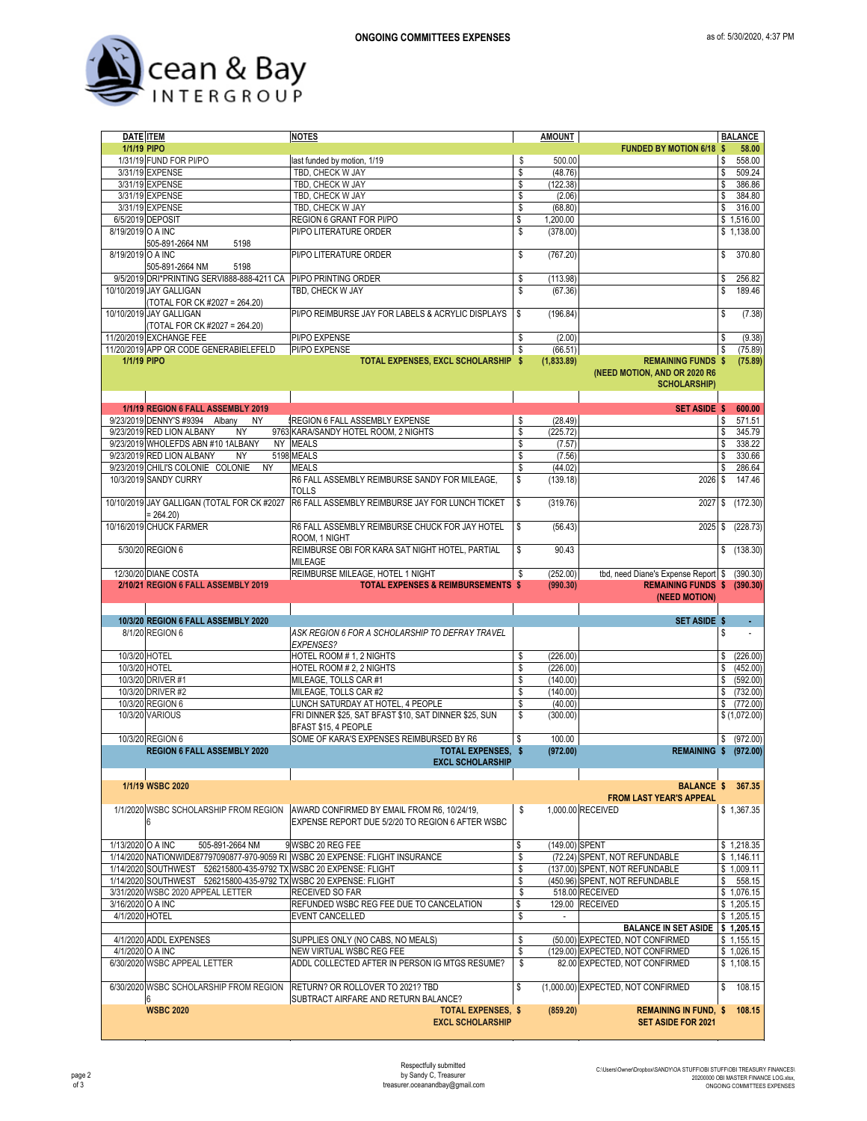

| <b>DATE ITEM</b>   |                                                                   | <b>NOTES</b>                                                                  | <b>AMOUNT</b> |                |                                     |      | <b>BALANCE</b> |
|--------------------|-------------------------------------------------------------------|-------------------------------------------------------------------------------|---------------|----------------|-------------------------------------|------|----------------|
| 1/1/19 PIPO        |                                                                   |                                                                               |               |                | <b>FUNDED BY MOTION 6/18</b>        | - \$ | 58.00          |
|                    | 1/31/19 FUND FOR PI/PO                                            | last funded by motion, 1/19                                                   | \$            | 500.00         |                                     | \$   | 558.00         |
|                    | 3/31/19 EXPENSE                                                   | TBD, CHECK W JAY                                                              | \$            | (48.76)        |                                     | \$   | 509.24         |
|                    | 3/31/19 EXPENSE                                                   | TBD, CHECK W JAY                                                              | \$            | (122.38)       |                                     | \$   | 386.86         |
|                    | 3/31/19 EXPENSE                                                   | TBD, CHECK W JAY                                                              | \$            | (2.06)         |                                     | \$   | 384.80         |
|                    | 3/31/19 EXPENSE                                                   | TBD, CHECK W JAY                                                              | \$            | (68.80)        |                                     | \$   | 316.00         |
|                    | 6/5/2019 DEPOSIT                                                  | REGION 6 GRANT FOR PI/PO                                                      | \$            | 1,200.00       |                                     |      | \$1,516.00     |
| 8/19/2019 O A INC  |                                                                   | PI/PO LITERATURE ORDER                                                        | \$            | (378.00)       |                                     |      | \$1,138.00     |
|                    | 505-891-2664 NM<br>5198                                           |                                                                               |               |                |                                     |      |                |
| 8/19/2019 O A INC  |                                                                   | PI/PO LITERATURE ORDER                                                        | \$            | (767.20)       |                                     | \$   | 370.80         |
|                    | 505-891-2664 NM<br>5198                                           |                                                                               |               |                |                                     |      |                |
|                    | 9/5/2019 DRI*PRINTING SERVI888-888-4211 CA                        | PI/PO PRINTING ORDER                                                          | \$            | (113.98)       |                                     | \$   | 256.82         |
|                    | 10/10/2019 JAY GALLIGAN                                           | TBD. CHECK W JAY                                                              | \$            | (67.36)        |                                     | \$   | 189.46         |
|                    | (TOTAL FOR CK #2027 = 264.20)                                     |                                                                               |               |                |                                     |      |                |
|                    | 10/10/2019 JAY GALLIGAN                                           | PI/PO REIMBURSE JAY FOR LABELS & ACRYLIC DISPLAYS                             | \$            | (196.84)       |                                     | \$   | (7.38)         |
|                    | (TOTAL FOR CK #2027 = 264.20)                                     |                                                                               |               |                |                                     |      |                |
|                    | 11/20/2019 EXCHANGE FEE                                           | PI/PO EXPENSE                                                                 | \$            | (2.00)         |                                     | \$   | (9.38)         |
|                    |                                                                   |                                                                               |               |                |                                     |      |                |
|                    | 11/20/2019 APP QR CODE GENERABIELEFELD                            | PI/PO EXPENSE                                                                 | \$            | (66.51)        |                                     | \$   | (75.89)        |
| <b>1/1/19 PIPO</b> |                                                                   | TOTAL EXPENSES, EXCL SCHOLARSHIP \$                                           |               | (1,833.89)     | <b>REMAINING FUNDS \$</b>           |      | (75.89)        |
|                    |                                                                   |                                                                               |               |                | (NEED MOTION, AND OR 2020 R6        |      |                |
|                    |                                                                   |                                                                               |               |                | <b>SCHOLARSHIP)</b>                 |      |                |
|                    |                                                                   |                                                                               |               |                |                                     |      |                |
|                    | 1/1/19 REGION 6 FALL ASSEMBLY 2019                                |                                                                               |               |                | <b>SET ASIDE \$ 600.00</b>          |      |                |
|                    | 9/23/2019 DENNY'S #9394 Albany<br><b>NY</b>                       | REGION 6 FALL ASSEMBLY EXPENSE                                                | \$            | (28.49)        |                                     | \$   | 571.51         |
|                    | 9/23/2019 RED LION ALBANY<br><b>NY</b>                            | 9763 KARA/SANDY HOTEL ROOM, 2 NIGHTS                                          | \$            | (225.72)       |                                     | \$   | 345.79         |
|                    | 9/23/2019 WHOLEFDS ABN #10 1ALBANY                                | NY MEALS                                                                      | \$            | (7.57)         |                                     | \$   | 338.22         |
|                    | 9/23/2019 RED LION ALBANY<br><b>NY</b>                            | 5198 MEALS                                                                    | \$            | (7.56)         |                                     | \$   | 330.66         |
|                    | 9/23/2019 CHILI'S COLONIE COLONIE<br><b>NY</b>                    | <b>MEALS</b>                                                                  | \$            | (44.02)        |                                     | S    | 286.64         |
|                    | 10/3/2019 SANDY CURRY                                             | R6 FALL ASSEMBLY REIMBURSE SANDY FOR MILEAGE,                                 | \$            | (139.18)       | $2026$ \$                           |      | 147.46         |
|                    |                                                                   | <b>TOLLS</b>                                                                  |               |                |                                     |      |                |
|                    | 10/10/2019 JAY GALLIGAN (TOTAL FOR CK #2027                       | R6 FALL ASSEMBLY REIMBURSE JAY FOR LUNCH TICKET                               | \$            | (319.76)       | 2027                                | \$   | (172.30)       |
|                    | $= 264.20$                                                        |                                                                               |               |                |                                     |      |                |
|                    |                                                                   |                                                                               |               |                |                                     |      |                |
|                    | 10/16/2019 CHUCK FARMER                                           | R6 FALL ASSEMBLY REIMBURSE CHUCK FOR JAY HOTEL                                | \$            | (56.43)        | 2025                                | \$   | (228.73)       |
|                    |                                                                   | ROOM, 1 NIGHT                                                                 |               |                |                                     |      |                |
|                    | 5/30/20 REGION 6                                                  | REIMBURSE OBI FOR KARA SAT NIGHT HOTEL, PARTIAL                               | \$            | 90.43          |                                     | \$   | (138.30)       |
|                    |                                                                   | <b>MILEAGE</b>                                                                |               |                |                                     |      |                |
|                    | 12/30/20 DIANE COSTA                                              | REIMBURSE MILEAGE, HOTEL 1 NIGHT                                              | \$            | (252.00)       | tbd, need Diane's Expense Report \$ |      | (390.30)       |
|                    | 2/10/21 REGION 6 FALL ASSEMBLY 2019                               | <b>TOTAL EXPENSES &amp; REIMBURSEMENTS \$</b>                                 |               | (990.30)       | REMAINING FUNDS \$ (390.30)         |      |                |
|                    |                                                                   |                                                                               |               |                | (NEED MOTION)                       |      |                |
|                    |                                                                   |                                                                               |               |                |                                     |      |                |
|                    | 10/3/20 REGION 6 FALL ASSEMBLY 2020                               |                                                                               |               |                | <b>SET ASIDE \$</b>                 |      | ¥,             |
|                    | 8/1/20 REGION 6                                                   | ASK REGION 6 FOR A SCHOLARSHIP TO DEFRAY TRAVEL                               |               |                |                                     | \$   |                |
|                    |                                                                   | <b>EXPENSES?</b>                                                              |               |                |                                     |      |                |
| 10/3/20 HOTEL      |                                                                   | HOTEL ROOM # 1, 2 NIGHTS                                                      | \$            | (226.00)       |                                     | \$   | (226.00)       |
| 10/3/20 HOTEL      |                                                                   | HOTEL ROOM # 2, 2 NIGHTS                                                      | \$            | (226.00)       |                                     | \$   | (452.00)       |
|                    | 10/3/20 DRIVER #1                                                 | MILEAGE. TOLLS CAR #1                                                         | \$            | (140.00)       |                                     | \$   | (592.00)       |
|                    |                                                                   |                                                                               |               |                |                                     |      |                |
|                    | 10/3/20 DRIVER #2                                                 | MILEAGE, TOLLS CAR #2                                                         | \$            | (140.00)       |                                     | \$   | (732.00)       |
|                    | 10/3/20 REGION 6                                                  | LUNCH SATURDAY AT HOTEL, 4 PEOPLE                                             | \$            | (40.00)        |                                     | \$   | (772.00)       |
|                    | 10/3/20 VARIOUS                                                   | FRI DINNER \$25, SAT BFAST \$10, SAT DINNER \$25, SUN                         | \$            | (300.00)       |                                     |      | \$(1,072.00)   |
|                    |                                                                   | BFAST \$15, 4 PEOPLE                                                          |               |                |                                     |      |                |
|                    | 10/3/20 REGION 6                                                  | SOME OF KARA'S EXPENSES REIMBURSED BY R6                                      | \$            | 100.00         |                                     | \$   | (972.00)       |
|                    | <b>REGION 6 FALL ASSEMBLY 2020</b>                                | <b>TOTAL EXPENSES. \$</b>                                                     |               | (972.00)       | <b>REMAINING \$ (972.00)</b>        |      |                |
|                    |                                                                   | <b>EXCL SCHOLARSHIP</b>                                                       |               |                |                                     |      |                |
|                    |                                                                   |                                                                               |               |                |                                     |      |                |
|                    | 1/1/19 WSBC 2020                                                  |                                                                               |               |                | <b>BALANCE \$</b>                   |      | 367.35         |
|                    |                                                                   |                                                                               |               |                | <b>FROM LAST YEAR'S APPEAL</b>      |      |                |
|                    | 1/1/2020 WSBC SCHOLARSHIP FROM REGION                             | AWARD CONFIRMED BY EMAIL FROM R6, 10/24/19,                                   | \$            |                | 1.000.00 RECEIVED                   |      | \$1,367.35     |
|                    | 6                                                                 | EXPENSE REPORT DUE 5/2/20 TO REGION 6 AFTER WSBC                              |               |                |                                     |      |                |
|                    |                                                                   |                                                                               |               |                |                                     |      |                |
| 1/13/2020 O A INC  | 505-891-2664 NM                                                   | 9 WSBC 20 REG FEE                                                             | \$            | (149.00) SPENT |                                     |      | \$1,218.35     |
|                    |                                                                   |                                                                               |               |                |                                     |      |                |
|                    |                                                                   | 1/14/2020 NATIONWIDE87797090877-970-9059 RI WSBC 20 EXPENSE: FLIGHT INSURANCE | \$            |                | (72.24) SPENT, NOT REFUNDABLE       |      | \$1,146.11     |
|                    | 1/14/2020 SOUTHWEST 526215800-435-9792 TX WSBC 20 EXPENSE: FLIGHT |                                                                               | \$            |                | (137.00) SPENT, NOT REFUNDABLE      |      | \$1,009.11     |
|                    | 1/14/2020 SOUTHWEST 526215800-435-9792 TX WSBC 20 EXPENSE: FLIGHT |                                                                               | \$            |                | (450.96) SPENT, NOT REFUNDABLE      | \$   | 558.15         |
|                    | 3/31/2020 WSBC 2020 APPEAL LETTER                                 | RECEIVED SO FAR                                                               | \$            |                | 518.00 RECEIVED                     |      | \$1,076.15     |
| 3/16/2020 O A INC  |                                                                   | REFUNDED WSBC REG FEE DUE TO CANCELATION                                      | \$            |                | 129.00 RECEIVED                     |      | \$1,205.15     |
| 4/1/2020 HOTEL     |                                                                   | <b>EVENT CANCELLED</b>                                                        | \$            | $\sim$         |                                     |      | \$1,205.15     |
|                    |                                                                   |                                                                               |               |                | BALANCE IN SET ASIDE   \$ 1,205.15  |      |                |
|                    | 4/1/2020 ADDL EXPENSES                                            | SUPPLIES ONLY (NO CABS, NO MEALS)                                             | \$            |                | (50.00) EXPECTED, NOT CONFIRMED     |      | \$1,155.15     |
| 4/1/2020 O A INC   |                                                                   | NEW VIRTUAL WSBC REG FEE                                                      | \$            |                | (129.00) EXPECTED, NOT CONFIRMED    |      | \$1,026.15     |
|                    | 6/30/2020 WSBC APPEAL LETTER                                      | ADDL COLLECTED AFTER IN PERSON IG MTGS RESUME?                                | \$            |                | 82.00 EXPECTED, NOT CONFIRMED       |      | \$1,108.15     |
|                    |                                                                   |                                                                               |               |                |                                     |      |                |
|                    |                                                                   |                                                                               | \$            |                |                                     |      |                |
|                    | 6/30/2020 WSBC SCHOLARSHIP FROM REGION                            | RETURN? OR ROLLOVER TO 2021? TBD                                              |               |                | (1,000.00) EXPECTED, NOT CONFIRMED  | \$   | 108.15         |
|                    | 6                                                                 | SUBTRACT AIRFARE AND RETURN BALANCE?                                          |               |                |                                     |      |                |
|                    | <b>WSBC 2020</b>                                                  | <b>TOTAL EXPENSES, \$</b>                                                     |               | (859.20)       | <b>REMAINING IN FUND, \$</b>        |      | 108.15         |
|                    |                                                                   | <b>EXCL SCHOLARSHIP</b>                                                       |               |                | <b>SET ASIDE FOR 2021</b>           |      |                |
|                    |                                                                   |                                                                               |               |                |                                     |      |                |